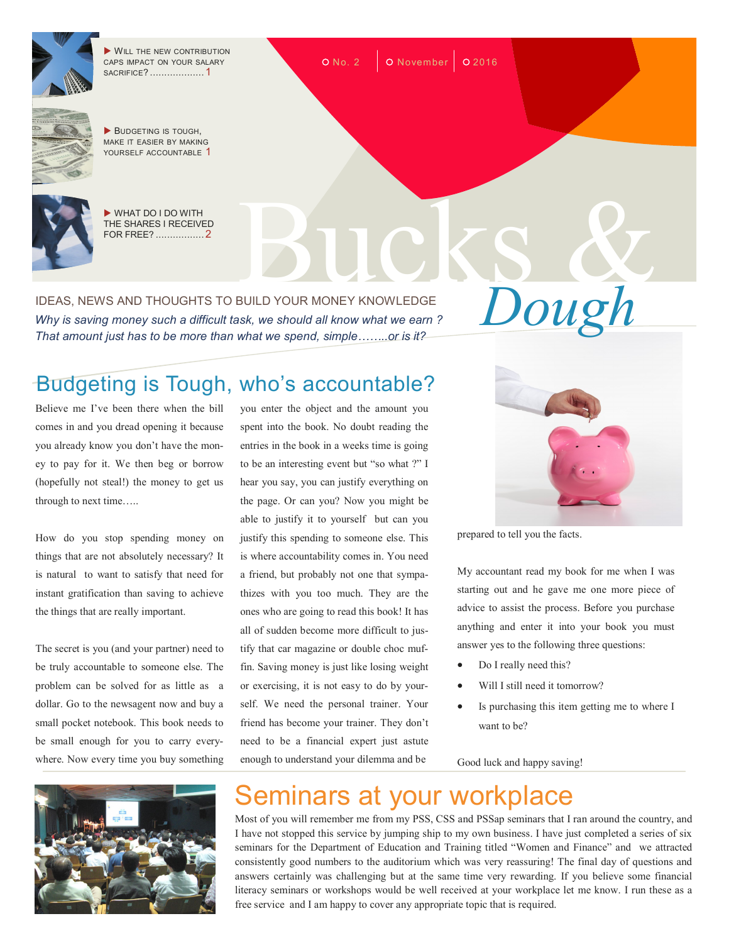

WILL THE NEW CONTRIBUTION CAPS IMPACT ON YOUR SALARY SACRIFICE? ................... 1



BUDGETING IS TOUGH. MAKE IT EASIER BY MAKING YOURSELF ACCOUNTABLE 1



 WHAT DO I DO WITH THE SHARES I RECEIVED FOR FREE? ................. <sup>2</sup> Bucks &

IDEAS, NEWS AND THOUGHTS TO BUILD YOUR MONEY KNOWLEDGE<br>Why is saving money such a difficult task, we should all know what we earn ? *Why is saving money such a difficult task, we should all know what we earn ? That amount just has to be more than what we spend, simple……..or is it?*

## Budgeting is Tough, who's accountable?

Believe me I've been there when the bill comes in and you dread opening it because you already know you don't have the money to pay for it. We then beg or borrow (hopefully not steal!) the money to get us through to next time…..

How do you stop spending money on things that are not absolutely necessary? It is natural to want to satisfy that need for instant gratification than saving to achieve the things that are really important.

The secret is you (and your partner) need to be truly accountable to someone else. The problem can be solved for as little as a dollar. Go to the newsagent now and buy a small pocket notebook. This book needs to be small enough for you to carry everywhere. Now every time you buy something



you enter the object and the amount you spent into the book. No doubt reading the entries in the book in a weeks time is going to be an interesting event but "so what ?" I hear you say, you can justify everything on the page. Or can you? Now you might be able to justify it to yourself but can you justify this spending to someone else. This is where accountability comes in. You need a friend, but probably not one that sympathizes with you too much. They are the ones who are going to read this book! It has all of sudden become more difficult to justify that car magazine or double choc muffin. Saving money is just like losing weight or exercising, it is not easy to do by yourself. We need the personal trainer. Your friend has become your trainer. They don't need to be a financial expert just astute enough to understand your dilemma and be



prepared to tell you the facts.

My accountant read my book for me when I was starting out and he gave me one more piece of advice to assist the process. Before you purchase anything and enter it into your book you must answer yes to the following three questions:

- Do I really need this?
- Will I still need it tomorrow?
- Is purchasing this item getting me to where I want to be?

Good luck and happy saving!

## Seminars at your workplace

 $O$  No. 2  $\vert$  O November  $\vert$  O 2016

Most of you will remember me from my PSS, CSS and PSSap seminars that I ran around the country, and I have not stopped this service by jumping ship to my own business. I have just completed a series of six seminars for the Department of Education and Training titled "Women and Finance" and we attracted consistently good numbers to the auditorium which was very reassuring! The final day of questions and answers certainly was challenging but at the same time very rewarding. If you believe some financial literacy seminars or workshops would be well received at your workplace let me know. I run these as a free service and I am happy to cover any appropriate topic that is required.